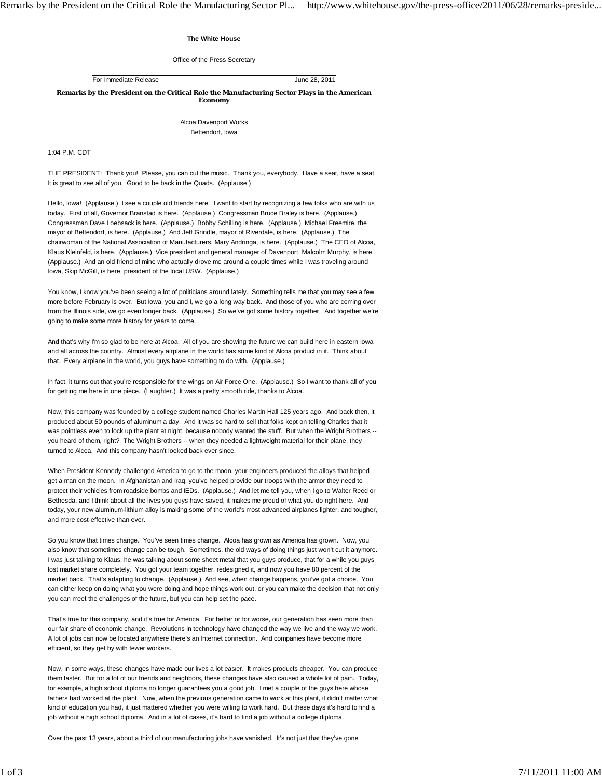## **The White House**

Office of the Press Secretary

For Immediate Release June 28, 2011

**Remarks by the President on the Critical Role the Manufacturing Sector Plays in the American Economy**

> Alcoa Davenport Works Bettendorf, Iowa

## 1:04 P.M. CDT

THE PRESIDENT: Thank you! Please, you can cut the music. Thank you, everybody. Have a seat, have a seat. It is great to see all of you. Good to be back in the Quads. (Applause.)

Hello, Iowa! (Applause.) I see a couple old friends here. I want to start by recognizing a few folks who are with us today. First of all, Governor Branstad is here. (Applause.) Congressman Bruce Braley is here. (Applause.) Congressman Dave Loebsack is here. (Applause.) Bobby Schilling is here. (Applause.) Michael Freemire, the mayor of Bettendorf, is here. (Applause.) And Jeff Grindle, mayor of Riverdale, is here. (Applause.) The chairwoman of the National Association of Manufacturers, Mary Andringa, is here. (Applause.) The CEO of Alcoa, Klaus Kleinfeld, is here. (Applause.) Vice president and general manager of Davenport, Malcolm Murphy, is here. (Applause.) And an old friend of mine who actually drove me around a couple times while I was traveling around Iowa, Skip McGill, is here, president of the local USW. (Applause.)

You know, I know you've been seeing a lot of politicians around lately. Something tells me that you may see a few more before February is over. But Iowa, you and I, we go a long way back. And those of you who are coming over from the Illinois side, we go even longer back. (Applause.) So we've got some history together. And together we're going to make some more history for years to come.

And that's why I'm so glad to be here at Alcoa. All of you are showing the future we can build here in eastern Iowa and all across the country. Almost every airplane in the world has some kind of Alcoa product in it. Think about that. Every airplane in the world, you guys have something to do with. (Applause.)

In fact, it turns out that you're responsible for the wings on Air Force One. (Applause.) So I want to thank all of you for getting me here in one piece. (Laughter.) It was a pretty smooth ride, thanks to Alcoa.

Now, this company was founded by a college student named Charles Martin Hall 125 years ago. And back then, it produced about 50 pounds of aluminum a day. And it was so hard to sell that folks kept on telling Charles that it was pointless even to lock up the plant at night, because nobody wanted the stuff. But when the Wright Brothers -you heard of them, right? The Wright Brothers -- when they needed a lightweight material for their plane, they turned to Alcoa. And this company hasn't looked back ever since.

When President Kennedy challenged America to go to the moon, your engineers produced the alloys that helped get a man on the moon. In Afghanistan and Iraq, you've helped provide our troops with the armor they need to protect their vehicles from roadside bombs and IEDs. (Applause.) And let me tell you, when I go to Walter Reed or Bethesda, and I think about all the lives you guys have saved, it makes me proud of what you do right here. And today, your new aluminum-lithium alloy is making some of the world's most advanced airplanes lighter, and tougher, and more cost-effective than ever.

So you know that times change. You've seen times change. Alcoa has grown as America has grown. Now, you also know that sometimes change can be tough. Sometimes, the old ways of doing things just won't cut it anymore. I was just talking to Klaus; he was talking about some sheet metal that you guys produce, that for a while you guys lost market share completely. You got your team together, redesigned it, and now you have 80 percent of the market back. That's adapting to change. (Applause.) And see, when change happens, you've got a choice. You can either keep on doing what you were doing and hope things work out, or you can make the decision that not only you can meet the challenges of the future, but you can help set the pace.

That's true for this company, and it's true for America. For better or for worse, our generation has seen more than our fair share of economic change. Revolutions in technology have changed the way we live and the way we work. A lot of jobs can now be located anywhere there's an Internet connection. And companies have become more efficient, so they get by with fewer workers.

Now, in some ways, these changes have made our lives a lot easier. It makes products cheaper. You can produce them faster. But for a lot of our friends and neighbors, these changes have also caused a whole lot of pain. Today, for example, a high school diploma no longer guarantees you a good job. I met a couple of the guys here whose fathers had worked at the plant. Now, when the previous generation came to work at this plant, it didn't matter what kind of education you had, it just mattered whether you were willing to work hard. But these days it's hard to find a job without a high school diploma. And in a lot of cases, it's hard to find a job without a college diploma.

Over the past 13 years, about a third of our manufacturing jobs have vanished. It's not just that they've gone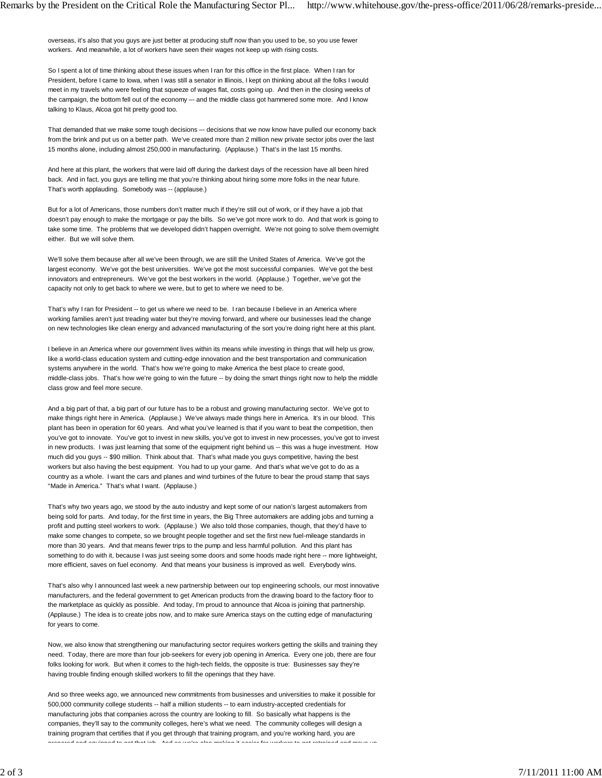overseas, it's also that you guys are just better at producing stuff now than you used to be, so you use fewer workers. And meanwhile, a lot of workers have seen their wages not keep up with rising costs.

So I spent a lot of time thinking about these issues when I ran for this office in the first place. When I ran for President, before I came to Iowa, when I was still a senator in Illinois, I kept on thinking about all the folks I would meet in my travels who were feeling that squeeze of wages flat, costs going up. And then in the closing weeks of the campaign, the bottom fell out of the economy -- and the middle class got hammered some more. And I know talking to Klaus, Alcoa got hit pretty good too.

That demanded that we make some tough decisions -- decisions that we now know have pulled our economy back from the brink and put us on a better path. We've created more than 2 million new private sector jobs over the last 15 months alone, including almost 250,000 in manufacturing. (Applause.) That's in the last 15 months.

And here at this plant, the workers that were laid off during the darkest days of the recession have all been hired back. And in fact, you guys are telling me that you're thinking about hiring some more folks in the near future. That's worth applauding. Somebody was -- (applause.)

But for a lot of Americans, those numbers don't matter much if they're still out of work, or if they have a job that doesn't pay enough to make the mortgage or pay the bills. So we've got more work to do. And that work is going to take some time. The problems that we developed didn't happen overnight. We're not going to solve them overnight either. But we will solve them.

We'll solve them because after all we've been through, we are still the United States of America. We've got the largest economy. We've got the best universities. We've got the most successful companies. We've got the best innovators and entrepreneurs. We've got the best workers in the world. (Applause.) Together, we've got the capacity not only to get back to where we were, but to get to where we need to be.

That's why I ran for President -- to get us where we need to be. I ran because I believe in an America where working families aren't just treading water but they're moving forward, and where our businesses lead the change on new technologies like clean energy and advanced manufacturing of the sort you're doing right here at this plant.

I believe in an America where our government lives within its means while investing in things that will help us grow, like a world-class education system and cutting-edge innovation and the best transportation and communication systems anywhere in the world. That's how we're going to make America the best place to create good, middle-class jobs. That's how we're going to win the future -- by doing the smart things right now to help the middle class grow and feel more secure.

And a big part of that, a big part of our future has to be a robust and growing manufacturing sector. We've got to make things right here in America. (Applause.) We've always made things here in America. It's in our blood. This plant has been in operation for 60 years. And what you've learned is that if you want to beat the competition, then you've got to innovate. You've got to invest in new skills, you've got to invest in new processes, you've got to invest in new products. I was just learning that some of the equipment right behind us -- this was a huge investment. How much did you guys -- \$90 million. Think about that. That's what made you guys competitive, having the best workers but also having the best equipment. You had to up your game. And that's what we've got to do as a country as a whole. I want the cars and planes and wind turbines of the future to bear the proud stamp that says "Made in America." That's what I want. (Applause.)

That's why two years ago, we stood by the auto industry and kept some of our nation's largest automakers from being sold for parts. And today, for the first time in years, the Big Three automakers are adding jobs and turning a profit and putting steel workers to work. (Applause.) We also told those companies, though, that they'd have to make some changes to compete, so we brought people together and set the first new fuel-mileage standards in more than 30 years. And that means fewer trips to the pump and less harmful pollution. And this plant has something to do with it, because I was just seeing some doors and some hoods made right here -- more lightweight, more efficient, saves on fuel economy. And that means your business is improved as well. Everybody wins.

That's also why I announced last week a new partnership between our top engineering schools, our most innovative manufacturers, and the federal government to get American products from the drawing board to the factory floor to the marketplace as quickly as possible. And today, I'm proud to announce that Alcoa is joining that partnership. (Applause.) The idea is to create jobs now, and to make sure America stays on the cutting edge of manufacturing for years to come.

Now, we also know that strengthening our manufacturing sector requires workers getting the skills and training they need. Today, there are more than four job-seekers for every job opening in America. Every one job, there are four folks looking for work. But when it comes to the high-tech fields, the opposite is true: Businesses say they're having trouble finding enough skilled workers to fill the openings that they have.

And so three weeks ago, we announced new commitments from businesses and universities to make it possible for 500,000 community college students -- half a million students -- to earn industry-accepted credentials for manufacturing jobs that companies across the country are looking to fill. So basically what happens is the companies, they'll say to the community colleges, here's what we need. The community colleges will design a training program that certifies that if you get through that training program, and you're working hard, you are prepared and equipped to get that job And so we're also making it easier for workers to get retrained and move up